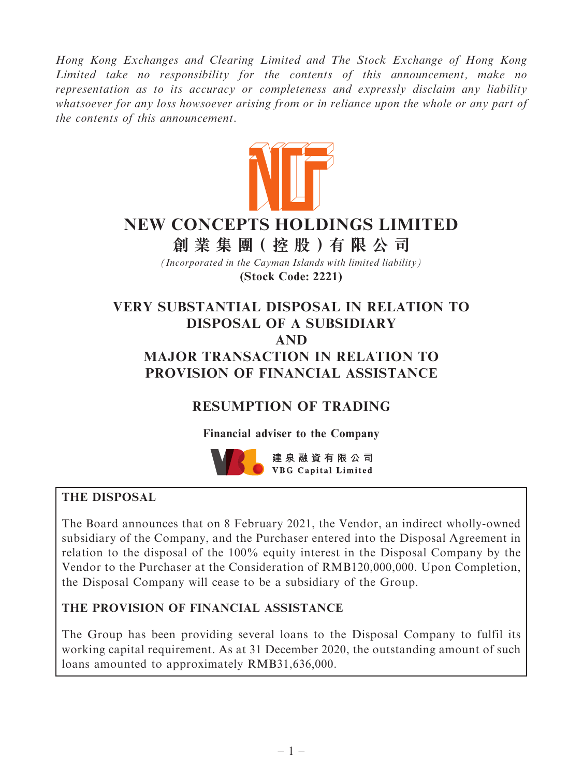Hong Kong Exchanges and Clearing Limited and The Stock Exchange of Hong Kong Limited take no responsibility for the contents of this announcement, make no representation as to its accuracy or completeness and expressly disclaim any liability whatsoever for any loss howsoever arising from or in reliance upon the whole or any part of the contents of this announcement.



# **NEW CONCEPTS HOLDINGS LIMITED**

**創 業 集 團( 控 股 )有 限 公 司**

*(Incorporated in the Cayman Islands with limited liability)* **(Stock Code: 2221)**

# VERY SUBSTANTIAL DISPOSAL IN RELATION TO DISPOSAL OF A SUBSIDIARY AND MAJOR TRANSACTION IN RELATION TO PROVISION OF FINANCIAL ASSISTANCE

# RESUMPTION OF TRADING

Financial adviser to the Company



# THE DISPOSAL

The Board announces that on 8 February 2021, the Vendor, an indirect wholly-owned subsidiary of the Company, and the Purchaser entered into the Disposal Agreement in relation to the disposal of the 100% equity interest in the Disposal Company by the Vendor to the Purchaser at the Consideration of RMB120,000,000. Upon Completion, the Disposal Company will cease to be a subsidiary of the Group.

# THE PROVISION OF FINANCIAL ASSISTANCE

The Group has been providing several loans to the Disposal Company to fulfil its working capital requirement. As at 31 December 2020, the outstanding amount of such loans amounted to approximately RMB31,636,000.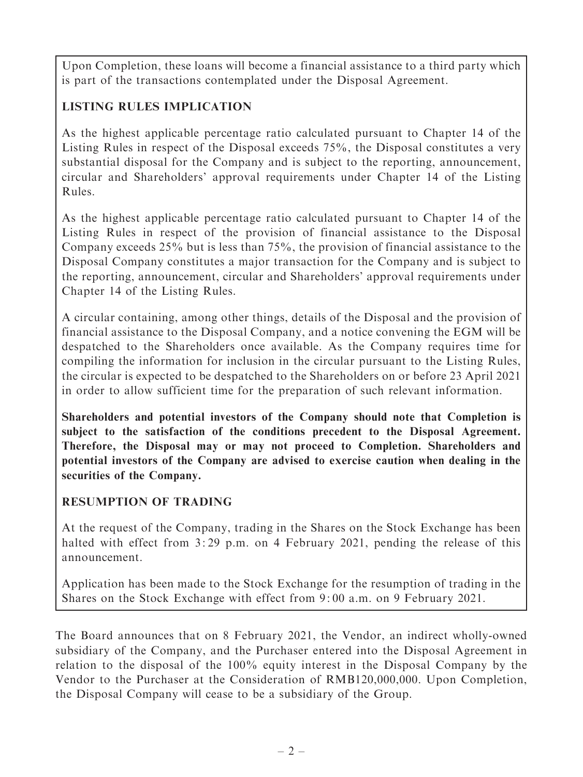Upon Completion, these loans will become a financial assistance to a third party which is part of the transactions contemplated under the Disposal Agreement.

# LISTING RULES IMPLICATION

As the highest applicable percentage ratio calculated pursuant to Chapter 14 of the Listing Rules in respect of the Disposal exceeds 75%, the Disposal constitutes a very substantial disposal for the Company and is subject to the reporting, announcement, circular and Shareholders' approval requirements under Chapter 14 of the Listing Rules.

As the highest applicable percentage ratio calculated pursuant to Chapter 14 of the Listing Rules in respect of the provision of financial assistance to the Disposal Company exceeds 25% but is less than 75%, the provision of financial assistance to the Disposal Company constitutes a major transaction for the Company and is subject to the reporting, announcement, circular and Shareholders' approval requirements under Chapter 14 of the Listing Rules.

A circular containing, among other things, details of the Disposal and the provision of financial assistance to the Disposal Company, and a notice convening the EGM will be despatched to the Shareholders once available. As the Company requires time for compiling the information for inclusion in the circular pursuant to the Listing Rules, the circular is expected to be despatched to the Shareholders on or before 23 April 2021 in order to allow sufficient time for the preparation of such relevant information.

Shareholders and potential investors of the Company should note that Completion is subject to the satisfaction of the conditions precedent to the Disposal Agreement. Therefore, the Disposal may or may not proceed to Completion. Shareholders and potential investors of the Company are advised to exercise caution when dealing in the securities of the Company.

# RESUMPTION OF TRADING

At the request of the Company, trading in the Shares on the Stock Exchange has been halted with effect from 3:29 p.m. on 4 February 2021, pending the release of this announcement.

Application has been made to the Stock Exchange for the resumption of trading in the Shares on the Stock Exchange with effect from 9: 00 a.m. on 9 February 2021.

The Board announces that on 8 February 2021, the Vendor, an indirect wholly-owned subsidiary of the Company, and the Purchaser entered into the Disposal Agreement in relation to the disposal of the 100% equity interest in the Disposal Company by the Vendor to the Purchaser at the Consideration of RMB120,000,000. Upon Completion, the Disposal Company will cease to be a subsidiary of the Group.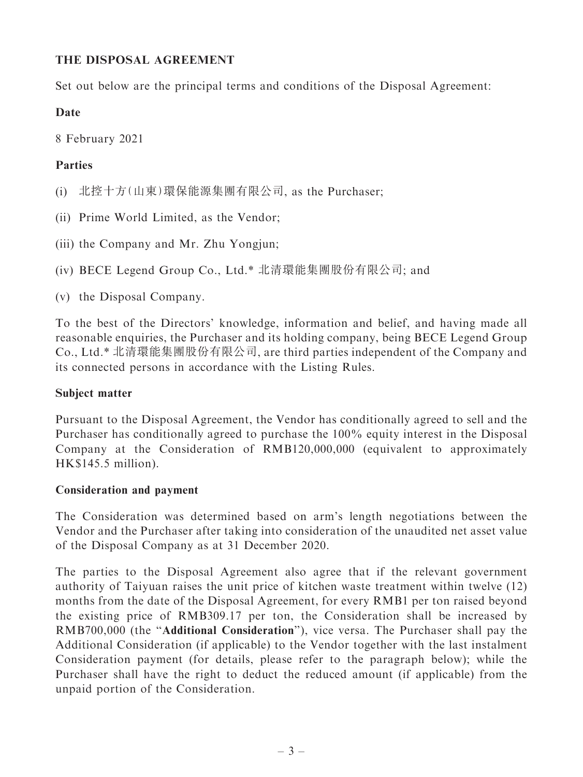# THE DISPOSAL AGREEMENT

Set out below are the principal terms and conditions of the Disposal Agreement:

# Date

8 February 2021

# Parties

- (i) 北控十方(山東)環保能源集團有限公司, as the Purchaser;
- (ii) Prime World Limited, as the Vendor;
- (iii) the Company and Mr. Zhu Yongjun;
- (iv) BECE Legend Group Co., Ltd.\* 北清環能集團股份有限公司; and
- (v) the Disposal Company.

To the best of the Directors' knowledge, information and belief, and having made all reasonable enquiries, the Purchaser and its holding company, being BECE Legend Group Co., Ltd.\* 北清環能集團股份有限公司, are third parties independent of the Company and its connected persons in accordance with the Listing Rules.

# Subject matter

Pursuant to the Disposal Agreement, the Vendor has conditionally agreed to sell and the Purchaser has conditionally agreed to purchase the 100% equity interest in the Disposal Company at the Consideration of RMB120,000,000 (equivalent to approximately HK\$145.5 million).

# Consideration and payment

The Consideration was determined based on arm's length negotiations between the Vendor and the Purchaser after taking into consideration of the unaudited net asset value of the Disposal Company as at 31 December 2020.

The parties to the Disposal Agreement also agree that if the relevant government authority of Taiyuan raises the unit price of kitchen waste treatment within twelve (12) months from the date of the Disposal Agreement, for every RMB1 per ton raised beyond the existing price of RMB309.17 per ton, the Consideration shall be increased by RMB700,000 (the ''Additional Consideration''), vice versa. The Purchaser shall pay the Additional Consideration (if applicable) to the Vendor together with the last instalment Consideration payment (for details, please refer to the paragraph below); while the Purchaser shall have the right to deduct the reduced amount (if applicable) from the unpaid portion of the Consideration.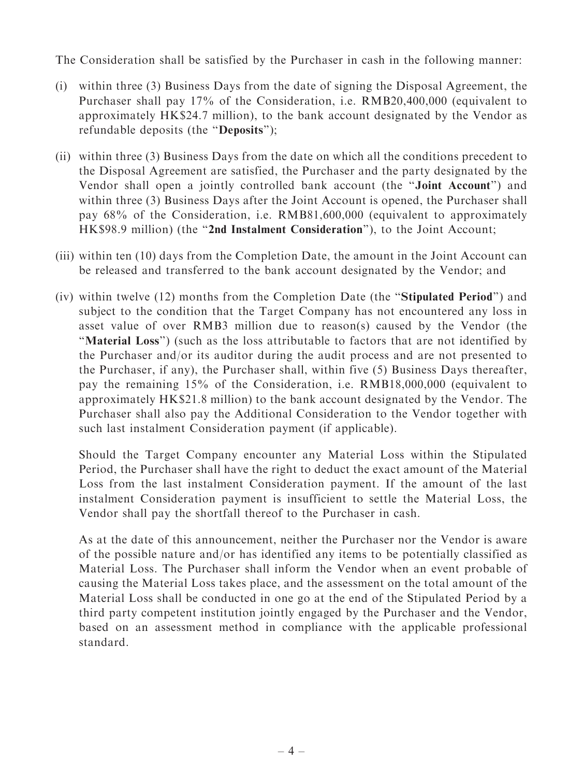The Consideration shall be satisfied by the Purchaser in cash in the following manner:

- (i) within three (3) Business Days from the date of signing the Disposal Agreement, the Purchaser shall pay 17% of the Consideration, i.e. RMB20,400,000 (equivalent to approximately HK\$24.7 million), to the bank account designated by the Vendor as refundable deposits (the ''Deposits'');
- (ii) within three (3) Business Days from the date on which all the conditions precedent to the Disposal Agreement are satisfied, the Purchaser and the party designated by the Vendor shall open a jointly controlled bank account (the ''Joint Account'') and within three (3) Business Days after the Joint Account is opened, the Purchaser shall pay 68% of the Consideration, i.e. RMB81,600,000 (equivalent to approximately HK\$98.9 million) (the "2nd Instalment Consideration"), to the Joint Account;
- (iii) within ten (10) days from the Completion Date, the amount in the Joint Account can be released and transferred to the bank account designated by the Vendor; and
- (iv) within twelve (12) months from the Completion Date (the ''Stipulated Period'') and subject to the condition that the Target Company has not encountered any loss in asset value of over RMB3 million due to reason(s) caused by the Vendor (the ''Material Loss'') (such as the loss attributable to factors that are not identified by the Purchaser and/or its auditor during the audit process and are not presented to the Purchaser, if any), the Purchaser shall, within five (5) Business Days thereafter, pay the remaining 15% of the Consideration, i.e. RMB18,000,000 (equivalent to approximately HK\$21.8 million) to the bank account designated by the Vendor. The Purchaser shall also pay the Additional Consideration to the Vendor together with such last instalment Consideration payment (if applicable).

Should the Target Company encounter any Material Loss within the Stipulated Period, the Purchaser shall have the right to deduct the exact amount of the Material Loss from the last instalment Consideration payment. If the amount of the last instalment Consideration payment is insufficient to settle the Material Loss, the Vendor shall pay the shortfall thereof to the Purchaser in cash.

As at the date of this announcement, neither the Purchaser nor the Vendor is aware of the possible nature and/or has identified any items to be potentially classified as Material Loss. The Purchaser shall inform the Vendor when an event probable of causing the Material Loss takes place, and the assessment on the total amount of the Material Loss shall be conducted in one go at the end of the Stipulated Period by a third party competent institution jointly engaged by the Purchaser and the Vendor, based on an assessment method in compliance with the applicable professional standard.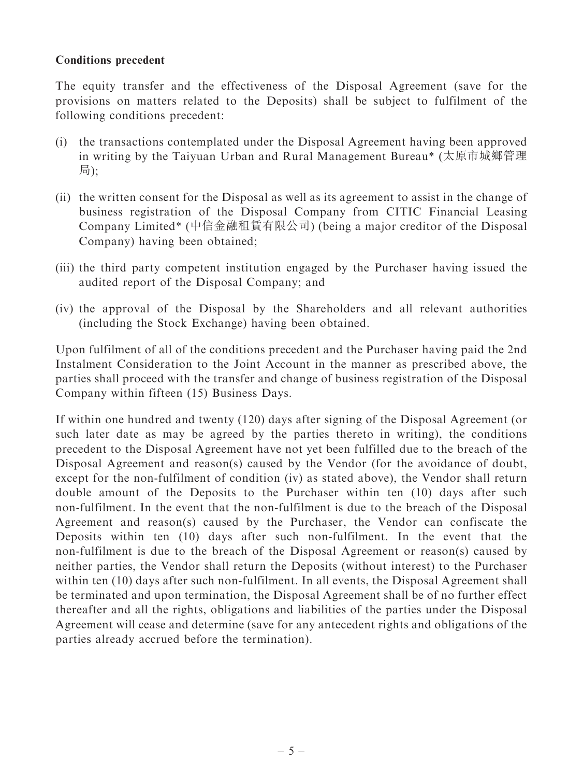#### Conditions precedent

The equity transfer and the effectiveness of the Disposal Agreement (save for the provisions on matters related to the Deposits) shall be subject to fulfilment of the following conditions precedent:

- (i) the transactions contemplated under the Disposal Agreement having been approved in writing by the Taiyuan Urban and Rural Management Bureau\* (太原市城鄉管理 局);
- (ii) the written consent for the Disposal as well as its agreement to assist in the change of business registration of the Disposal Company from CITIC Financial Leasing Company Limited\* (中信金融租賃有限公司) (being a major creditor of the Disposal Company) having been obtained;
- (iii) the third party competent institution engaged by the Purchaser having issued the audited report of the Disposal Company; and
- (iv) the approval of the Disposal by the Shareholders and all relevant authorities (including the Stock Exchange) having been obtained.

Upon fulfilment of all of the conditions precedent and the Purchaser having paid the 2nd Instalment Consideration to the Joint Account in the manner as prescribed above, the parties shall proceed with the transfer and change of business registration of the Disposal Company within fifteen (15) Business Days.

If within one hundred and twenty (120) days after signing of the Disposal Agreement (or such later date as may be agreed by the parties thereto in writing), the conditions precedent to the Disposal Agreement have not yet been fulfilled due to the breach of the Disposal Agreement and reason(s) caused by the Vendor (for the avoidance of doubt, except for the non-fulfilment of condition (iv) as stated above), the Vendor shall return double amount of the Deposits to the Purchaser within ten (10) days after such non-fulfilment. In the event that the non-fulfilment is due to the breach of the Disposal Agreement and reason(s) caused by the Purchaser, the Vendor can confiscate the Deposits within ten (10) days after such non-fulfilment. In the event that the non-fulfilment is due to the breach of the Disposal Agreement or reason(s) caused by neither parties, the Vendor shall return the Deposits (without interest) to the Purchaser within ten (10) days after such non-fulfilment. In all events, the Disposal Agreement shall be terminated and upon termination, the Disposal Agreement shall be of no further effect thereafter and all the rights, obligations and liabilities of the parties under the Disposal Agreement will cease and determine (save for any antecedent rights and obligations of the parties already accrued before the termination).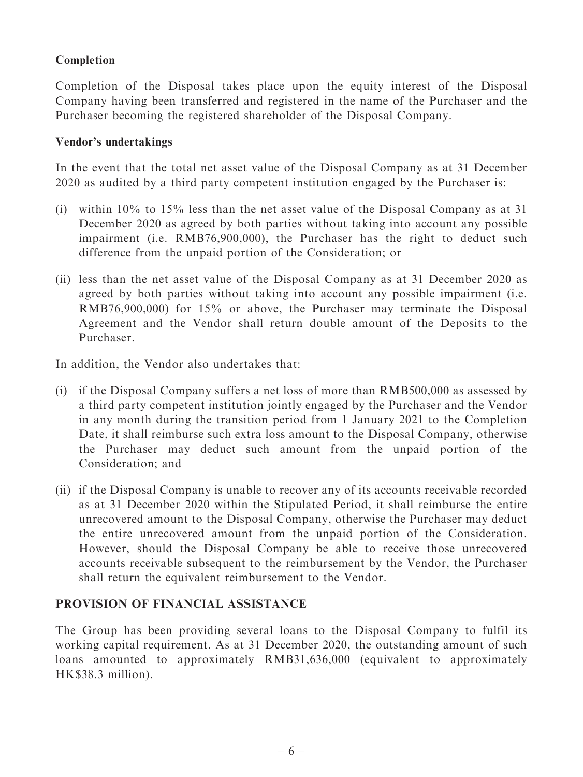# Completion

Completion of the Disposal takes place upon the equity interest of the Disposal Company having been transferred and registered in the name of the Purchaser and the Purchaser becoming the registered shareholder of the Disposal Company.

#### Vendor's undertakings

In the event that the total net asset value of the Disposal Company as at 31 December 2020 as audited by a third party competent institution engaged by the Purchaser is:

- (i) within 10% to 15% less than the net asset value of the Disposal Company as at 31 December 2020 as agreed by both parties without taking into account any possible impairment (i.e. RMB76,900,000), the Purchaser has the right to deduct such difference from the unpaid portion of the Consideration; or
- (ii) less than the net asset value of the Disposal Company as at 31 December 2020 as agreed by both parties without taking into account any possible impairment (i.e. RMB76,900,000) for 15% or above, the Purchaser may terminate the Disposal Agreement and the Vendor shall return double amount of the Deposits to the Purchaser.

In addition, the Vendor also undertakes that:

- (i) if the Disposal Company suffers a net loss of more than RMB500,000 as assessed by a third party competent institution jointly engaged by the Purchaser and the Vendor in any month during the transition period from 1 January 2021 to the Completion Date, it shall reimburse such extra loss amount to the Disposal Company, otherwise the Purchaser may deduct such amount from the unpaid portion of the Consideration; and
- (ii) if the Disposal Company is unable to recover any of its accounts receivable recorded as at 31 December 2020 within the Stipulated Period, it shall reimburse the entire unrecovered amount to the Disposal Company, otherwise the Purchaser may deduct the entire unrecovered amount from the unpaid portion of the Consideration. However, should the Disposal Company be able to receive those unrecovered accounts receivable subsequent to the reimbursement by the Vendor, the Purchaser shall return the equivalent reimbursement to the Vendor.

#### PROVISION OF FINANCIAL ASSISTANCE

The Group has been providing several loans to the Disposal Company to fulfil its working capital requirement. As at 31 December 2020, the outstanding amount of such loans amounted to approximately RMB31,636,000 (equivalent to approximately HK\$38.3 million).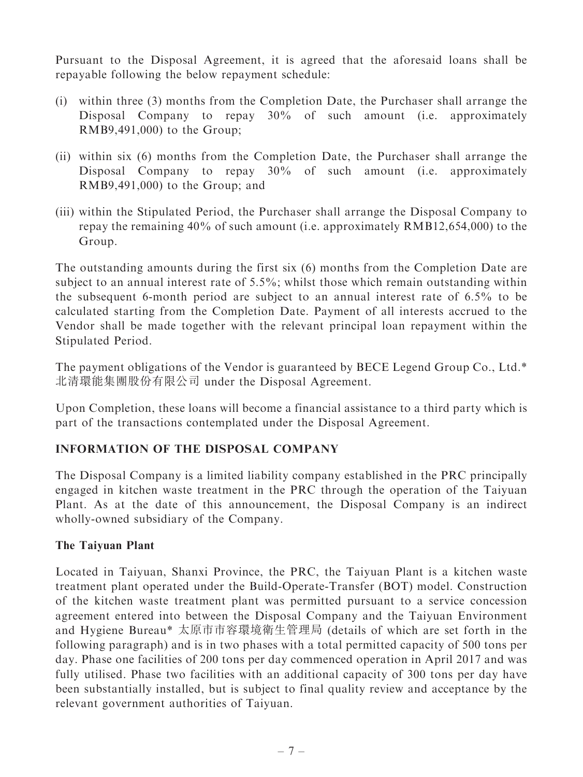Pursuant to the Disposal Agreement, it is agreed that the aforesaid loans shall be repayable following the below repayment schedule:

- (i) within three (3) months from the Completion Date, the Purchaser shall arrange the Disposal Company to repay 30% of such amount (i.e. approximately RMB9,491,000) to the Group;
- (ii) within six (6) months from the Completion Date, the Purchaser shall arrange the Disposal Company to repay 30% of such amount (i.e. approximately RMB9,491,000) to the Group; and
- (iii) within the Stipulated Period, the Purchaser shall arrange the Disposal Company to repay the remaining 40% of such amount (i.e. approximately RMB12,654,000) to the Group.

The outstanding amounts during the first six (6) months from the Completion Date are subject to an annual interest rate of 5.5%; whilst those which remain outstanding within the subsequent 6-month period are subject to an annual interest rate of 6.5% to be calculated starting from the Completion Date. Payment of all interests accrued to the Vendor shall be made together with the relevant principal loan repayment within the Stipulated Period.

The payment obligations of the Vendor is guaranteed by BECE Legend Group Co., Ltd.\* 北清環能集團股份有限公司 under the Disposal Agreement.

Upon Completion, these loans will become a financial assistance to a third party which is part of the transactions contemplated under the Disposal Agreement.

# INFORMATION OF THE DISPOSAL COMPANY

The Disposal Company is a limited liability company established in the PRC principally engaged in kitchen waste treatment in the PRC through the operation of the Taiyuan Plant. As at the date of this announcement, the Disposal Company is an indirect wholly-owned subsidiary of the Company.

# The Taiyuan Plant

Located in Taiyuan, Shanxi Province, the PRC, the Taiyuan Plant is a kitchen waste treatment plant operated under the Build-Operate-Transfer (BOT) model. Construction of the kitchen waste treatment plant was permitted pursuant to a service concession agreement entered into between the Disposal Company and the Taiyuan Environment and Hygiene Bureau\* 太原市市容環境衛生管理局 (details of which are set forth in the following paragraph) and is in two phases with a total permitted capacity of 500 tons per day. Phase one facilities of 200 tons per day commenced operation in April 2017 and was fully utilised. Phase two facilities with an additional capacity of 300 tons per day have been substantially installed, but is subject to final quality review and acceptance by the relevant government authorities of Taiyuan.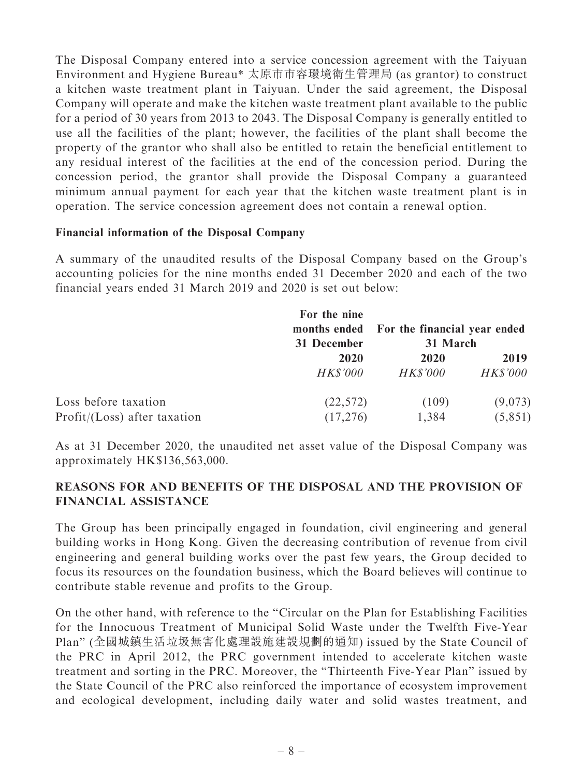The Disposal Company entered into a service concession agreement with the Taiyuan Environment and Hygiene Bureau\* 太原市市容環境衛生管理局 (as grantor) to construct a kitchen waste treatment plant in Taiyuan. Under the said agreement, the Disposal Company will operate and make the kitchen waste treatment plant available to the public for a period of 30 years from 2013 to 2043. The Disposal Company is generally entitled to use all the facilities of the plant; however, the facilities of the plant shall become the property of the grantor who shall also be entitled to retain the beneficial entitlement to any residual interest of the facilities at the end of the concession period. During the concession period, the grantor shall provide the Disposal Company a guaranteed minimum annual payment for each year that the kitchen waste treatment plant is in operation. The service concession agreement does not contain a renewal option.

#### Financial information of the Disposal Company

A summary of the unaudited results of the Disposal Company based on the Group's accounting policies for the nine months ended 31 December 2020 and each of the two financial years ended 31 March 2019 and 2020 is set out below:

|                                                          | For the nine<br>months ended<br>31 December<br>2020<br><i>HK\$'000</i> | For the financial year ended<br>31 March |                         |
|----------------------------------------------------------|------------------------------------------------------------------------|------------------------------------------|-------------------------|
|                                                          |                                                                        | 2020<br><i>HK\$'000</i>                  | 2019<br><b>HK\$'000</b> |
| Loss before taxation<br>$Profit / (Loss)$ after taxation | (22, 572)<br>(17,276)                                                  | (109)<br>1,384                           | (9,073)<br>(5,851)      |

As at 31 December 2020, the unaudited net asset value of the Disposal Company was approximately HK\$136,563,000.

### REASONS FOR AND BENEFITS OF THE DISPOSAL AND THE PROVISION OF FINANCIAL ASSISTANCE

The Group has been principally engaged in foundation, civil engineering and general building works in Hong Kong. Given the decreasing contribution of revenue from civil engineering and general building works over the past few years, the Group decided to focus its resources on the foundation business, which the Board believes will continue to contribute stable revenue and profits to the Group.

On the other hand, with reference to the ''Circular on the Plan for Establishing Facilities for the Innocuous Treatment of Municipal Solid Waste under the Twelfth Five-Year Plan'' (全國城鎮生活垃圾無害化處理設施建設規劃的通知) issued by the State Council of the PRC in April 2012, the PRC government intended to accelerate kitchen waste treatment and sorting in the PRC. Moreover, the ''Thirteenth Five-Year Plan'' issued by the State Council of the PRC also reinforced the importance of ecosystem improvement and ecological development, including daily water and solid wastes treatment, and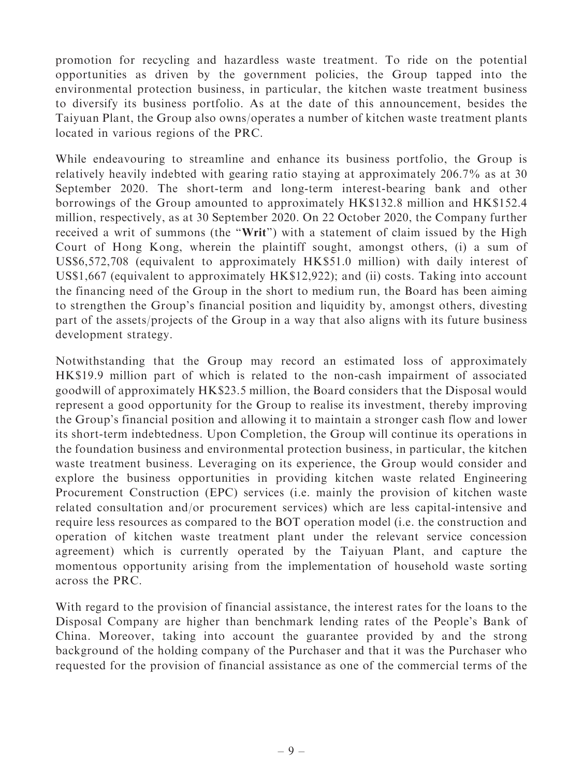promotion for recycling and hazardless waste treatment. To ride on the potential opportunities as driven by the government policies, the Group tapped into the environmental protection business, in particular, the kitchen waste treatment business to diversify its business portfolio. As at the date of this announcement, besides the Taiyuan Plant, the Group also owns/operates a number of kitchen waste treatment plants located in various regions of the PRC.

While endeavouring to streamline and enhance its business portfolio, the Group is relatively heavily indebted with gearing ratio staying at approximately 206.7% as at 30 September 2020. The short-term and long-term interest-bearing bank and other borrowings of the Group amounted to approximately HK\$132.8 million and HK\$152.4 million, respectively, as at 30 September 2020. On 22 October 2020, the Company further received a writ of summons (the "Writ") with a statement of claim issued by the High Court of Hong Kong, wherein the plaintiff sought, amongst others, (i) a sum of US\$6,572,708 (equivalent to approximately HK\$51.0 million) with daily interest of US\$1,667 (equivalent to approximately HK\$12,922); and (ii) costs. Taking into account the financing need of the Group in the short to medium run, the Board has been aiming to strengthen the Group's financial position and liquidity by, amongst others, divesting part of the assets/projects of the Group in a way that also aligns with its future business development strategy.

Notwithstanding that the Group may record an estimated loss of approximately HK\$19.9 million part of which is related to the non-cash impairment of associated goodwill of approximately HK\$23.5 million, the Board considers that the Disposal would represent a good opportunity for the Group to realise its investment, thereby improving the Group's financial position and allowing it to maintain a stronger cash flow and lower its short-term indebtedness. Upon Completion, the Group will continue its operations in the foundation business and environmental protection business, in particular, the kitchen waste treatment business. Leveraging on its experience, the Group would consider and explore the business opportunities in providing kitchen waste related Engineering Procurement Construction (EPC) services (i.e. mainly the provision of kitchen waste related consultation and/or procurement services) which are less capital-intensive and require less resources as compared to the BOT operation model (i.e. the construction and operation of kitchen waste treatment plant under the relevant service concession agreement) which is currently operated by the Taiyuan Plant, and capture the momentous opportunity arising from the implementation of household waste sorting across the PRC.

With regard to the provision of financial assistance, the interest rates for the loans to the Disposal Company are higher than benchmark lending rates of the People's Bank of China. Moreover, taking into account the guarantee provided by and the strong background of the holding company of the Purchaser and that it was the Purchaser who requested for the provision of financial assistance as one of the commercial terms of the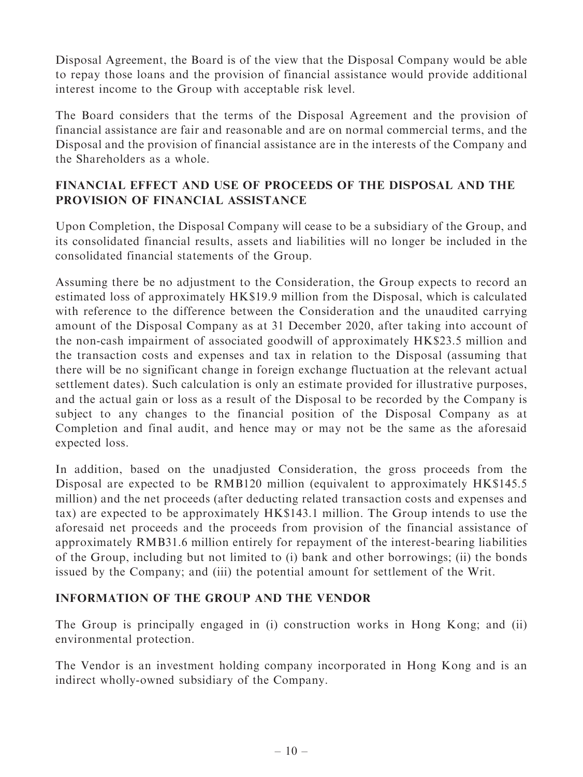Disposal Agreement, the Board is of the view that the Disposal Company would be able to repay those loans and the provision of financial assistance would provide additional interest income to the Group with acceptable risk level.

The Board considers that the terms of the Disposal Agreement and the provision of financial assistance are fair and reasonable and are on normal commercial terms, and the Disposal and the provision of financial assistance are in the interests of the Company and the Shareholders as a whole.

# FINANCIAL EFFECT AND USE OF PROCEEDS OF THE DISPOSAL AND THE PROVISION OF FINANCIAL ASSISTANCE

Upon Completion, the Disposal Company will cease to be a subsidiary of the Group, and its consolidated financial results, assets and liabilities will no longer be included in the consolidated financial statements of the Group.

Assuming there be no adjustment to the Consideration, the Group expects to record an estimated loss of approximately HK\$19.9 million from the Disposal, which is calculated with reference to the difference between the Consideration and the unaudited carrying amount of the Disposal Company as at 31 December 2020, after taking into account of the non-cash impairment of associated goodwill of approximately HK\$23.5 million and the transaction costs and expenses and tax in relation to the Disposal (assuming that there will be no significant change in foreign exchange fluctuation at the relevant actual settlement dates). Such calculation is only an estimate provided for illustrative purposes, and the actual gain or loss as a result of the Disposal to be recorded by the Company is subject to any changes to the financial position of the Disposal Company as at Completion and final audit, and hence may or may not be the same as the aforesaid expected loss.

In addition, based on the unadjusted Consideration, the gross proceeds from the Disposal are expected to be RMB120 million (equivalent to approximately HK\$145.5 million) and the net proceeds (after deducting related transaction costs and expenses and tax) are expected to be approximately HK\$143.1 million. The Group intends to use the aforesaid net proceeds and the proceeds from provision of the financial assistance of approximately RMB31.6 million entirely for repayment of the interest-bearing liabilities of the Group, including but not limited to (i) bank and other borrowings; (ii) the bonds issued by the Company; and (iii) the potential amount for settlement of the Writ.

# INFORMATION OF THE GROUP AND THE VENDOR

The Group is principally engaged in (i) construction works in Hong Kong; and (ii) environmental protection.

The Vendor is an investment holding company incorporated in Hong Kong and is an indirect wholly-owned subsidiary of the Company.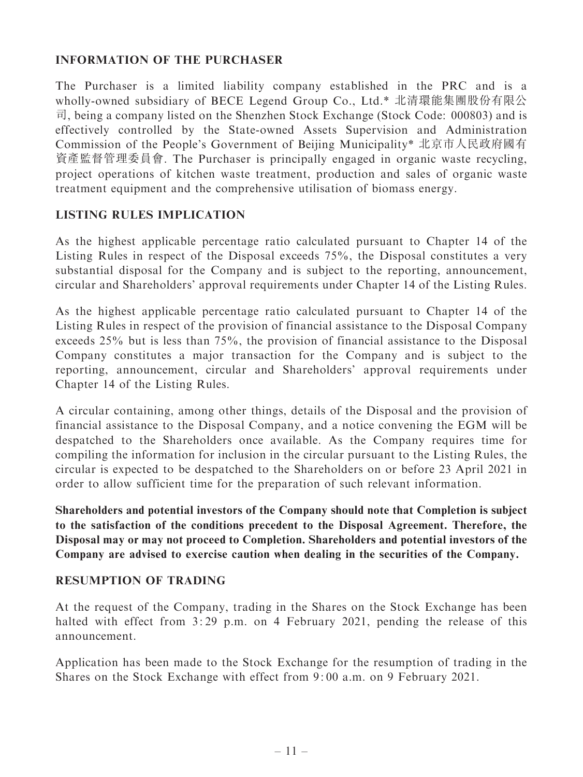### INFORMATION OF THE PURCHASER

The Purchaser is a limited liability company established in the PRC and is a wholly-owned subsidiary of BECE Legend Group Co., Ltd.\* 北清環能集團股份有限公 司, being a company listed on the Shenzhen Stock Exchange (Stock Code: 000803) and is effectively controlled by the State-owned Assets Supervision and Administration Commission of the People's Government of Beijing Municipality\* 北京市人民政府國有 資產監督管理委員會. The Purchaser is principally engaged in organic waste recycling, project operations of kitchen waste treatment, production and sales of organic waste treatment equipment and the comprehensive utilisation of biomass energy.

#### LISTING RULES IMPLICATION

As the highest applicable percentage ratio calculated pursuant to Chapter 14 of the Listing Rules in respect of the Disposal exceeds 75%, the Disposal constitutes a very substantial disposal for the Company and is subject to the reporting, announcement, circular and Shareholders' approval requirements under Chapter 14 of the Listing Rules.

As the highest applicable percentage ratio calculated pursuant to Chapter 14 of the Listing Rules in respect of the provision of financial assistance to the Disposal Company exceeds 25% but is less than 75%, the provision of financial assistance to the Disposal Company constitutes a major transaction for the Company and is subject to the reporting, announcement, circular and Shareholders' approval requirements under Chapter 14 of the Listing Rules.

A circular containing, among other things, details of the Disposal and the provision of financial assistance to the Disposal Company, and a notice convening the EGM will be despatched to the Shareholders once available. As the Company requires time for compiling the information for inclusion in the circular pursuant to the Listing Rules, the circular is expected to be despatched to the Shareholders on or before 23 April 2021 in order to allow sufficient time for the preparation of such relevant information.

Shareholders and potential investors of the Company should note that Completion is subject to the satisfaction of the conditions precedent to the Disposal Agreement. Therefore, the Disposal may or may not proceed to Completion. Shareholders and potential investors of the Company are advised to exercise caution when dealing in the securities of the Company.

#### RESUMPTION OF TRADING

At the request of the Company, trading in the Shares on the Stock Exchange has been halted with effect from 3:29 p.m. on 4 February 2021, pending the release of this announcement.

Application has been made to the Stock Exchange for the resumption of trading in the Shares on the Stock Exchange with effect from 9: 00 a.m. on 9 February 2021.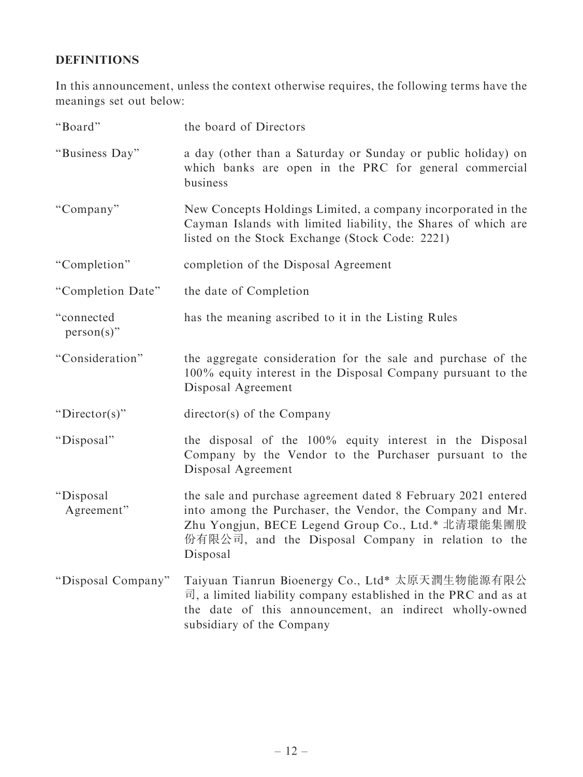# DEFINITIONS

In this announcement, unless the context otherwise requires, the following terms have the meanings set out below:

| "Board"                     | the board of Directors                                                                                                                                                                                                                            |
|-----------------------------|---------------------------------------------------------------------------------------------------------------------------------------------------------------------------------------------------------------------------------------------------|
| "Business Day"              | a day (other than a Saturday or Sunday or public holiday) on<br>which banks are open in the PRC for general commercial<br>business                                                                                                                |
| "Company"                   | New Concepts Holdings Limited, a company incorporated in the<br>Cayman Islands with limited liability, the Shares of which are<br>listed on the Stock Exchange (Stock Code: 2221)                                                                 |
| "Completion"                | completion of the Disposal Agreement                                                                                                                                                                                                              |
| "Completion Date"           | the date of Completion                                                                                                                                                                                                                            |
| "connected<br>$person(s)$ " | has the meaning ascribed to it in the Listing Rules                                                                                                                                                                                               |
| "Consideration"             | the aggregate consideration for the sale and purchase of the<br>100% equity interest in the Disposal Company pursuant to the<br>Disposal Agreement                                                                                                |
| " $Directory$ "             | director(s) of the Company                                                                                                                                                                                                                        |
| "Disposal"                  | the disposal of the 100% equity interest in the Disposal<br>Company by the Vendor to the Purchaser pursuant to the<br>Disposal Agreement                                                                                                          |
| "Disposal<br>Agreement"     | the sale and purchase agreement dated 8 February 2021 entered<br>into among the Purchaser, the Vendor, the Company and Mr.<br>Zhu Yongjun, BECE Legend Group Co., Ltd.* 北清環能集團股<br>份有限公司, and the Disposal Company in relation to the<br>Disposal |
| "Disposal Company"          | Taiyuan Tianrun Bioenergy Co., Ltd* 太原天潤生物能源有限公<br>$\overrightarrow{r}$ , a limited liability company established in the PRC and as at<br>the date of this announcement, an indirect wholly-owned<br>subsidiary of the Company                    |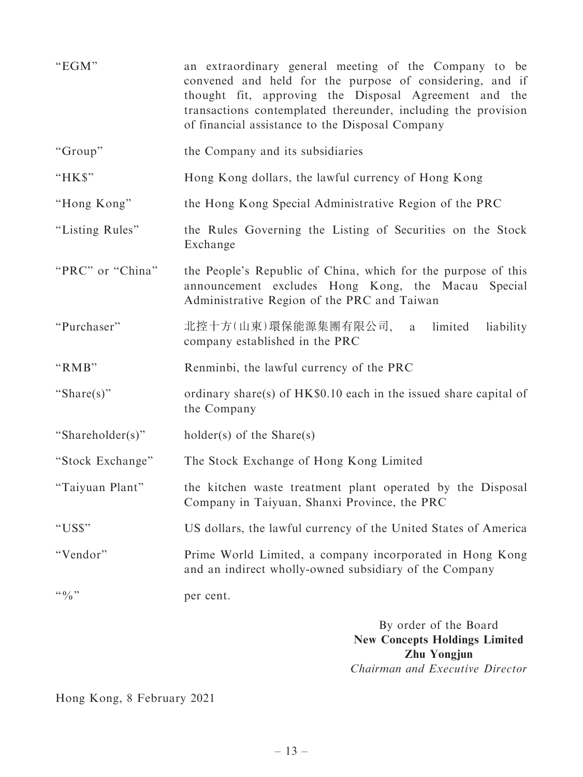| "EGM"                 | an extraordinary general meeting of the Company to be<br>convened and held for the purpose of considering, and if<br>thought fit, approving the Disposal Agreement and the<br>transactions contemplated thereunder, including the provision<br>of financial assistance to the Disposal Company |
|-----------------------|------------------------------------------------------------------------------------------------------------------------------------------------------------------------------------------------------------------------------------------------------------------------------------------------|
| "Group"               | the Company and its subsidiaries                                                                                                                                                                                                                                                               |
| "HK\$"                | Hong Kong dollars, the lawful currency of Hong Kong                                                                                                                                                                                                                                            |
| "Hong Kong"           | the Hong Kong Special Administrative Region of the PRC                                                                                                                                                                                                                                         |
| "Listing Rules"       | the Rules Governing the Listing of Securities on the Stock<br>Exchange                                                                                                                                                                                                                         |
| "PRC" or "China"      | the People's Republic of China, which for the purpose of this<br>announcement excludes Hong Kong, the Macau Special<br>Administrative Region of the PRC and Taiwan                                                                                                                             |
| "Purchaser"           | 北控十方(山東)環保能源集團有限公司,<br>limited<br>liability<br>a<br>company established in the PRC                                                                                                                                                                                                             |
| "RMB"                 | Renminbi, the lawful currency of the PRC                                                                                                                                                                                                                                                       |
| "Share(s)"            | ordinary share(s) of $HK\$0.10$ each in the issued share capital of<br>the Company                                                                                                                                                                                                             |
| "Shareholder(s)"      | $holder(s)$ of the Share(s)                                                                                                                                                                                                                                                                    |
| "Stock Exchange"      | The Stock Exchange of Hong Kong Limited                                                                                                                                                                                                                                                        |
| "Taiyuan Plant"       | the kitchen waste treatment plant operated by the Disposal<br>Company in Taiyuan, Shanxi Province, the PRC                                                                                                                                                                                     |
| "US\$"                | US dollars, the lawful currency of the United States of America                                                                                                                                                                                                                                |
| "Vendor"              | Prime World Limited, a company incorporated in Hong Kong<br>and an indirect wholly-owned subsidiary of the Company                                                                                                                                                                             |
| $\lq\lq 0$ , $\lq\lq$ | per cent.                                                                                                                                                                                                                                                                                      |
|                       | By order of the Board                                                                                                                                                                                                                                                                          |

By order of the Board New Concepts Holdings Limited Zhu Yongjun Chairman and Executive Director

Hong Kong, 8 February 2021